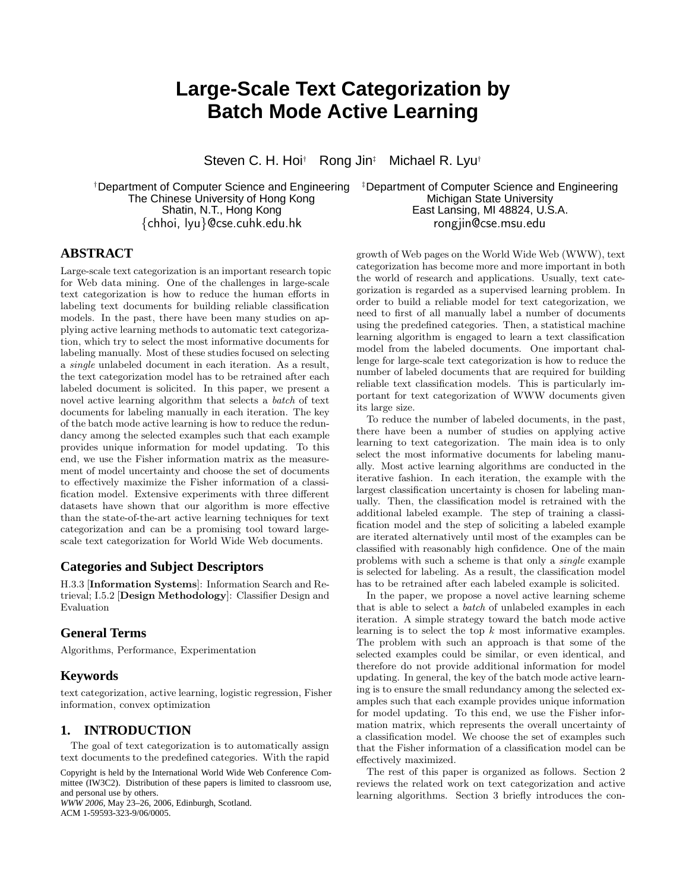# **Large-Scale Text Categorization by Batch Mode Active Learning**

Steven C. H. Hoi<sup>†</sup> Rong Jin<sup>‡</sup> Michael R. Lyu<sup>†</sup>

The Chinese University of Hong Kong<br>Shatin, N.T., Hong Kong *{*chhoi, lyu*}*@cse.cuhk.edu.hk rongjin@cse.msu.edu

†Department of Computer Science and Engineering ‡Department of Computer Science and Engineering East Lansing, MI 48824, U.S.A.

# **ABSTRACT**

Large-scale text categorization is an important research topic for Web data mining. One of the challenges in large-scale text categorization is how to reduce the human efforts in labeling text documents for building reliable classification models. In the past, there have been many studies on applying active learning methods to automatic text categorization, which try to select the most informative documents for labeling manually. Most of these studies focused on selecting a *single* unlabeled document in each iteration. As a result, the text categorization model has to be retrained after each labeled document is solicited. In this paper, we present a novel active learning algorithm that selects a *batch* of text documents for labeling manually in each iteration. The key of the batch mode active learning is how to reduce the redundancy among the selected examples such that each example provides unique information for model updating. To this end, we use the Fisher information matrix as the measurement of model uncertainty and choose the set of documents to effectively maximize the Fisher information of a classification model. Extensive experiments with three different datasets have shown that our algorithm is more effective than the state-of-the-art active learning techniques for text categorization and can be a promising tool toward largescale text categorization for World Wide Web documents.

# **Categories and Subject Descriptors**

H.3.3 [**Information Systems**]: Information Search and Retrieval; I.5.2 [**Design Methodology**]: Classifier Design and Evaluation

# **General Terms**

Algorithms, Performance, Experimentation

# **Keywords**

text categorization, active learning, logistic regression, Fisher information, convex optimization

# **1. INTRODUCTION**

The goal of text categorization is to automatically assign text documents to the predefined categories. With the rapid

Copyright is held by the International World Wide Web Conference Committee (IW3C2). Distribution of these papers is limited to classroom use, and personal use by others.

*WWW 2006*, May 23–26, 2006, Edinburgh, Scotland. ACM 1-59593-323-9/06/0005.

growth of Web pages on the World Wide Web (WWW), text categorization has become more and more important in both the world of research and applications. Usually, text categorization is regarded as a supervised learning problem. In order to build a reliable model for text categorization, we need to first of all manually label a number of documents using the predefined categories. Then, a statistical machine learning algorithm is engaged to learn a text classification model from the labeled documents. One important challenge for large-scale text categorization is how to reduce the number of labeled documents that are required for building reliable text classification models. This is particularly important for text categorization of WWW documents given its large size.

To reduce the number of labeled documents, in the past, there have been a number of studies on applying active learning to text categorization. The main idea is to only select the most informative documents for labeling manually. Most active learning algorithms are conducted in the iterative fashion. In each iteration, the example with the largest classification uncertainty is chosen for labeling manually. Then, the classification model is retrained with the additional labeled example. The step of training a classification model and the step of soliciting a labeled example are iterated alternatively until most of the examples can be classified with reasonably high confidence. One of the main problems with such a scheme is that only a *single* example is selected for labeling. As a result, the classification model has to be retrained after each labeled example is solicited.

In the paper, we propose a novel active learning scheme that is able to select a *batch* of unlabeled examples in each iteration. A simple strategy toward the batch mode active learning is to select the top k most informative examples. The problem with such an approach is that some of the selected examples could be similar, or even identical, and therefore do not provide additional information for model updating. In general, the key of the batch mode active learning is to ensure the small redundancy among the selected examples such that each example provides unique information for model updating. To this end, we use the Fisher information matrix, which represents the overall uncertainty of a classification model. We choose the set of examples such that the Fisher information of a classification model can be effectively maximized.

The rest of this paper is organized as follows. Section 2 reviews the related work on text categorization and active learning algorithms. Section 3 briefly introduces the con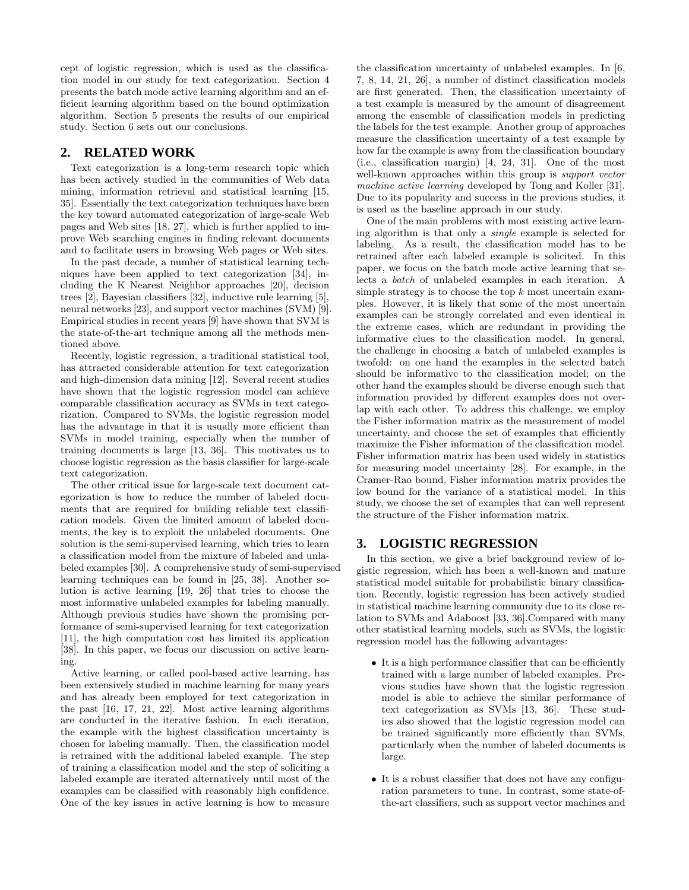cept of logistic regression, which is used as the classification model in our study for text categorization. Section 4 presents the batch mode active learning algorithm and an efficient learning algorithm based on the bound optimization algorithm. Section 5 presents the results of our empirical study. Section 6 sets out our conclusions.

#### **2. RELATED WORK**

Text categorization is a long-term research topic which has been actively studied in the communities of Web data mining, information retrieval and statistical learning [15, 35]. Essentially the text categorization techniques have been the key toward automated categorization of large-scale Web pages and Web sites [18, 27], which is further applied to improve Web searching engines in finding relevant documents and to facilitate users in browsing Web pages or Web sites.

In the past decade, a number of statistical learning techniques have been applied to text categorization [34], including the K Nearest Neighbor approaches [20], decision trees [2], Bayesian classifiers [32], inductive rule learning [5], neural networks [23], and support vector machines (SVM) [9]. Empirical studies in recent years [9] have shown that SVM is the state-of-the-art technique among all the methods mentioned above.

Recently, logistic regression, a traditional statistical tool, has attracted considerable attention for text categorization and high-dimension data mining [12]. Several recent studies have shown that the logistic regression model can achieve comparable classification accuracy as SVMs in text categorization. Compared to SVMs, the logistic regression model has the advantage in that it is usually more efficient than SVMs in model training, especially when the number of training documents is large [13, 36]. This motivates us to choose logistic regression as the basis classifier for large-scale text categorization.

The other critical issue for large-scale text document categorization is how to reduce the number of labeled documents that are required for building reliable text classification models. Given the limited amount of labeled documents, the key is to exploit the unlabeled documents. One solution is the semi-supervised learning, which tries to learn a classification model from the mixture of labeled and unlabeled examples [30]. A comprehensive study of semi-supervised learning techniques can be found in [25, 38]. Another solution is active learning [19, 26] that tries to choose the most informative unlabeled examples for labeling manually. Although previous studies have shown the promising performance of semi-supervised learning for text categorization [11], the high computation cost has limited its application [38]. In this paper, we focus our discussion on active learning.

Active learning, or called pool-based active learning, has been extensively studied in machine learning for many years and has already been employed for text categorization in the past [16, 17, 21, 22]. Most active learning algorithms are conducted in the iterative fashion. In each iteration, the example with the highest classification uncertainty is chosen for labeling manually. Then, the classification model is retrained with the additional labeled example. The step of training a classification model and the step of soliciting a labeled example are iterated alternatively until most of the examples can be classified with reasonably high confidence. One of the key issues in active learning is how to measure

the classification uncertainty of unlabeled examples. In [6, 7, 8, 14, 21, 26], a number of distinct classification models are first generated. Then, the classification uncertainty of a test example is measured by the amount of disagreement among the ensemble of classification models in predicting the labels for the test example. Another group of approaches measure the classification uncertainty of a test example by how far the example is away from the classification boundary (i.e., classification margin) [4, 24, 31]. One of the most well-known approaches within this group is *support vector machine active learning* developed by Tong and Koller [31]. Due to its popularity and success in the previous studies, it is used as the baseline approach in our study.

One of the main problems with most existing active learning algorithm is that only a *single* example is selected for labeling. As a result, the classification model has to be retrained after each labeled example is solicited. In this paper, we focus on the batch mode active learning that selects a *batch* of unlabeled examples in each iteration. A simple strategy is to choose the top  $k$  most uncertain examples. However, it is likely that some of the most uncertain examples can be strongly correlated and even identical in the extreme cases, which are redundant in providing the informative clues to the classification model. In general, the challenge in choosing a batch of unlabeled examples is twofold: on one hand the examples in the selected batch should be informative to the classification model; on the other hand the examples should be diverse enough such that information provided by different examples does not overlap with each other. To address this challenge, we employ the Fisher information matrix as the measurement of model uncertainty, and choose the set of examples that efficiently maximize the Fisher information of the classification model. Fisher information matrix has been used widely in statistics for measuring model uncertainty [28]. For example, in the Cramer-Rao bound, Fisher information matrix provides the low bound for the variance of a statistical model. In this study, we choose the set of examples that can well represent the structure of the Fisher information matrix.

# **3. LOGISTIC REGRESSION**

In this section, we give a brief background review of logistic regression, which has been a well-known and mature statistical model suitable for probabilistic binary classification. Recently, logistic regression has been actively studied in statistical machine learning community due to its close relation to SVMs and Adaboost [33, 36].Compared with many other statistical learning models, such as SVMs, the logistic regression model has the following advantages:

- It is a high performance classifier that can be efficiently trained with a large number of labeled examples. Previous studies have shown that the logistic regression model is able to achieve the similar performance of text categorization as SVMs [13, 36]. These studies also showed that the logistic regression model can be trained significantly more efficiently than SVMs, particularly when the number of labeled documents is large.
- It is a robust classifier that does not have any configuration parameters to tune. In contrast, some state-ofthe-art classifiers, such as support vector machines and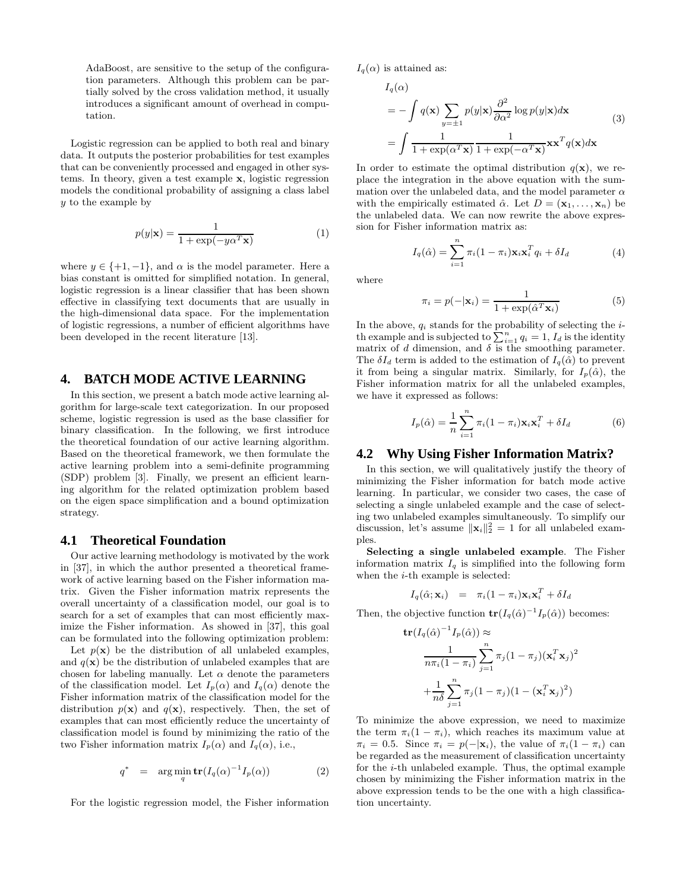AdaBoost, are sensitive to the setup of the configuration parameters. Although this problem can be partially solved by the cross validation method, it usually introduces a significant amount of overhead in computation.

Logistic regression can be applied to both real and binary data. It outputs the posterior probabilities for test examples that can be conveniently processed and engaged in other systems. In theory, given a test example **x**, logistic regression models the conditional probability of assigning a class label y to the example by

$$
p(y|\mathbf{x}) = \frac{1}{1 + \exp(-y\alpha^T \mathbf{x})}
$$
(1)

where  $y \in \{+1, -1\}$ , and  $\alpha$  is the model parameter. Here a bias constant is omitted for simplified notation. In general, logistic regression is a linear classifier that has been shown effective in classifying text documents that are usually in the high-dimensional data space. For the implementation of logistic regressions, a number of efficient algorithms have been developed in the recent literature [13].

## **4. BATCH MODE ACTIVE LEARNING**

In this section, we present a batch mode active learning algorithm for large-scale text categorization. In our proposed scheme, logistic regression is used as the base classifier for binary classification. In the following, we first introduce the theoretical foundation of our active learning algorithm. Based on the theoretical framework, we then formulate the active learning problem into a semi-definite programming (SDP) problem [3]. Finally, we present an efficient learning algorithm for the related optimization problem based on the eigen space simplification and a bound optimization strategy.

#### **4.1 Theoretical Foundation**

Our active learning methodology is motivated by the work in [37], in which the author presented a theoretical framework of active learning based on the Fisher information matrix. Given the Fisher information matrix represents the overall uncertainty of a classification model, our goal is to search for a set of examples that can most efficiently maximize the Fisher information. As showed in [37], this goal can be formulated into the following optimization problem:

Let  $p(x)$  be the distribution of all unlabeled examples, and  $q(\mathbf{x})$  be the distribution of unlabeled examples that are chosen for labeling manually. Let  $\alpha$  denote the parameters of the classification model. Let  $I_p(\alpha)$  and  $I_q(\alpha)$  denote the Fisher information matrix of the classification model for the distribution  $p(x)$  and  $q(x)$ , respectively. Then, the set of examples that can most efficiently reduce the uncertainty of classification model is found by minimizing the ratio of the two Fisher information matrix  $I_p(\alpha)$  and  $I_q(\alpha)$ , i.e.,

$$
q^* = \arg\min_{q} \mathbf{tr}(I_q(\alpha)^{-1} I_p(\alpha)) \tag{2}
$$

For the logistic regression model, the Fisher information

 $I_q(\alpha)$  is attained as:

$$
I_q(\alpha)
$$
  
=  $-\int q(\mathbf{x}) \sum_{y=\pm 1} p(y|\mathbf{x}) \frac{\partial^2}{\partial \alpha^2} \log p(y|\mathbf{x}) d\mathbf{x}$   
=  $\int \frac{1}{1 + \exp(\alpha^T \mathbf{x})} \frac{1}{1 + \exp(-\alpha^T \mathbf{x})} \mathbf{x} \mathbf{x}^T q(\mathbf{x}) d\mathbf{x}$  (3)

In order to estimate the optimal distribution  $q(\mathbf{x})$ , we replace the integration in the above equation with the summation over the unlabeled data, and the model parameter  $\alpha$ with the empirically estimated  $\hat{\alpha}$ . Let  $D = (\mathbf{x}_1, \dots, \mathbf{x}_n)$  be the unlabeled data. We can now rewrite the above expression for Fisher information matrix as:

$$
I_q(\hat{\alpha}) = \sum_{i=1}^n \pi_i (1 - \pi_i) \mathbf{x}_i \mathbf{x}_i^T q_i + \delta I_d \tag{4}
$$

where

$$
\pi_i = p(-|\mathbf{x}_i) = \frac{1}{1 + \exp(\hat{\alpha}^T \mathbf{x}_i)}
$$
(5)

In the above,  $q_i$  stands for the probability of selecting the  $i$ th example and is subjected to  $\sum_{i=1}^{n} q_i = 1$ ,  $I_d$  is the identity matrix of d dimension, and  $\delta$  is the smoothing parameter. The  $\delta I_d$  term is added to the estimation of  $I_q(\hat{\alpha})$  to prevent it from being a singular matrix. Similarly, for  $I_p(\hat{\alpha})$ , the Fisher information matrix for all the unlabeled examples, we have it expressed as follows:

$$
I_p(\hat{\alpha}) = \frac{1}{n} \sum_{i=1}^n \pi_i (1 - \pi_i) \mathbf{x}_i \mathbf{x}_i^T + \delta I_d \tag{6}
$$

#### **4.2 Why Using Fisher Information Matrix?**

In this section, we will qualitatively justify the theory of minimizing the Fisher information for batch mode active learning. In particular, we consider two cases, the case of selecting a single unlabeled example and the case of selecting two unlabeled examples simultaneously. To simplify our discussion, let's assume  $\|\mathbf{x}_i\|_2^2 = 1$  for all unlabeled examples.

**Selecting a single unlabeled example**. The Fisher information matrix  $I_q$  is simplified into the following form when the  $i$ -th example is selected:

$$
I_q(\hat{\alpha}; \mathbf{x}_i) = \pi_i (1 - \pi_i) \mathbf{x}_i \mathbf{x}_i^T + \delta I_d
$$

Then, the objective function  $tr(I_q(\hat{\alpha})^{-1}I_p(\hat{\alpha}))$  becomes:

$$
\operatorname{tr}(I_q(\hat{\alpha})^{-1}I_p(\hat{\alpha})) \approx
$$
  

$$
\frac{1}{n\pi_i(1-\pi_i)}\sum_{j=1}^n \pi_j(1-\pi_j)(\mathbf{x}_i^T\mathbf{x}_j)^2
$$
  

$$
+\frac{1}{n\delta}\sum_{j=1}^n \pi_j(1-\pi_j)(1-(\mathbf{x}_i^T\mathbf{x}_j)^2)
$$

To minimize the above expression, we need to maximize the term  $\pi_i(1 - \pi_i)$ , which reaches its maximum value at  $\pi_i = 0.5$ . Since  $\pi_i = p(-|\mathbf{x}_i)$ , the value of  $\pi_i(1-\pi_i)$  can be regarded as the measurement of classification uncertainty for the i-th unlabeled example. Thus, the optimal example chosen by minimizing the Fisher information matrix in the above expression tends to be the one with a high classification uncertainty.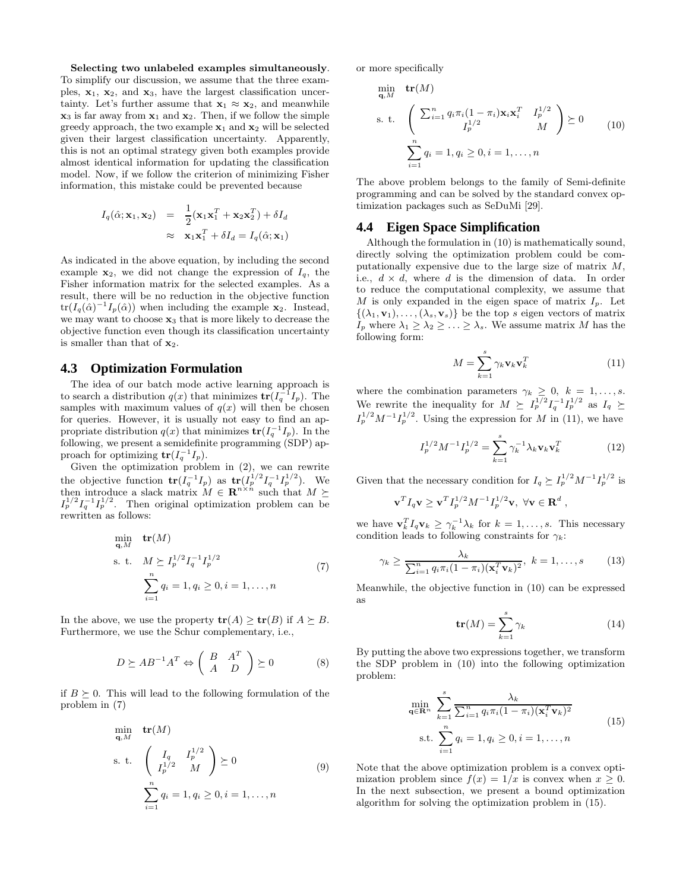**Selecting two unlabeled examples simultaneously**. To simplify our discussion, we assume that the three examples,  $\mathbf{x}_1$ ,  $\mathbf{x}_2$ , and  $\mathbf{x}_3$ , have the largest classification uncertainty. Let's further assume that  $\mathbf{x}_1 \approx \mathbf{x}_2$ , and meanwhile  $\mathbf{x}_3$  is far away from  $\mathbf{x}_1$  and  $\mathbf{x}_2$ . Then, if we follow the simple greedy approach, the two example **x**<sup>1</sup> and **x**<sup>2</sup> will be selected given their largest classification uncertainty. Apparently, this is not an optimal strategy given both examples provide almost identical information for updating the classification model. Now, if we follow the criterion of minimizing Fisher information, this mistake could be prevented because

$$
I_q(\hat{\alpha}; \mathbf{x}_1, \mathbf{x}_2) = \frac{1}{2} (\mathbf{x}_1 \mathbf{x}_1^T + \mathbf{x}_2 \mathbf{x}_2^T) + \delta I_d
$$
  

$$
\approx \mathbf{x}_1 \mathbf{x}_1^T + \delta I_d = I_q(\hat{\alpha}; \mathbf{x}_1)
$$

As indicated in the above equation, by including the second example  $\mathbf{x}_2$ , we did not change the expression of  $I_q$ , the Fisher information matrix for the selected examples. As a result, there will be no reduction in the objective function  $tr(I_q(\hat{\alpha})^{-1}I_p(\hat{\alpha}))$  when including the example **x**<sub>2</sub>. Instead, we may want to choose **x**<sup>3</sup> that is more likely to decrease the objective function even though its classification uncertainty is smaller than that of  $x_2$ .

## **4.3 Optimization Formulation**

The idea of our batch mode active learning approach is to search a distribution  $q(x)$  that minimizes  $\mathbf{tr}(I_q^{-1}I_p)$ . The samples with maximum values of  $q(x)$  will then be chosen for queries. However, it is usually not easy to find an appropriate distribution  $q(x)$  that minimizes  $\mathbf{tr}(I_q^{-1}I_p)$ . In the following, we present a semidefinite programming (SDP) approach for optimizing  $tr(I_q^{-1}I_p)$ .

Given the optimization problem in (2), we can rewrite the objective function  $\mathbf{tr}(I_q^{-1}I_p)$  as  $\mathbf{tr}(I_p^{1/2}I_q^{-1}I_p^{1/2})$ . We then introduce a slack matrix  $M \in \mathbb{R}^{n \times n}$  such that  $M \succeq$  $I_p^{1/2} I_q^{-1} I_p^{1/2}$ . Then original optimization problem can be rewritten as follows:

$$
\min_{\mathbf{q}, M} \quad \mathbf{tr}(M) \n\text{s. t.} \quad M \succeq I_p^{1/2} I_q^{-1} I_p^{1/2} \n\sum_{i=1}^n q_i = 1, q_i \geq 0, i = 1, ..., n
$$
\n(7)

In the above, we use the property  $tr(A)$  >  $tr(B)$  if  $A \succ B$ . Furthermore, we use the Schur complementary, i.e.,

$$
D \succeq AB^{-1}A^T \Leftrightarrow \left( \begin{array}{cc} B & A^T \\ A & D \end{array} \right) \succeq 0 \tag{8}
$$

if  $B \succeq 0$ . This will lead to the following formulation of the problem in (7)

$$
\min_{\mathbf{q}, M} \quad \mathbf{tr}(M)
$$
\n
$$
\text{s. t.} \quad \begin{pmatrix} I_q & I_p^{1/2} \\ I_p^{1/2} & M \end{pmatrix} \succeq 0 \tag{9}
$$
\n
$$
\sum_{i=1}^n q_i = 1, q_i \ge 0, i = 1, \dots, n
$$

or more specifically

$$
\min_{\mathbf{q}, M} \quad \mathbf{tr}(M)
$$
\n
$$
\text{s. t.} \quad \left( \begin{array}{cc} \sum_{i=1}^{n} q_i \pi_i (1 - \pi_i) \mathbf{x}_i \mathbf{x}_i^T & I_p^{1/2} \\ I_p^{1/2} & M \end{array} \right) \succeq 0 \tag{10}
$$
\n
$$
\sum_{i=1}^{n} q_i = 1, q_i \ge 0, i = 1, \dots, n
$$

The above problem belongs to the family of Semi-definite programming and can be solved by the standard convex optimization packages such as SeDuMi [29].

## **4.4 Eigen Space Simplification**

Although the formulation in (10) is mathematically sound, directly solving the optimization problem could be computationally expensive due to the large size of matrix  $M$ , i.e.,  $d \times d$ , where d is the dimension of data. In order to reduce the computational complexity, we assume that M is only expanded in the eigen space of matrix  $I_p$ . Let  $\{(\lambda_1, \mathbf{v}_1), \ldots, (\lambda_s, \mathbf{v}_s)\}\$ be the top s eigen vectors of matrix  $I_p$  where  $\lambda_1 \geq \lambda_2 \geq \ldots \geq \lambda_s$ . We assume matrix M has the following form:

$$
M = \sum_{k=1}^{s} \gamma_k \mathbf{v}_k \mathbf{v}_k^T
$$
 (11)

where the combination parameters  $\gamma_k \geq 0, k = 1, \ldots, s$ . We rewrite the inequality for  $M \succeq I_p^{1/2} I_q^{-1} I_p^{1/2}$  as  $I_q \succeq$  $I_p^{1/2}M^{-1}I_p^{1/2}$ . Using the expression for M in (11), we have

$$
I_p^{1/2} M^{-1} I_p^{1/2} = \sum_{k=1}^s \gamma_k^{-1} \lambda_k \mathbf{v}_k \mathbf{v}_k^T
$$
 (12)

Given that the necessary condition for  $I_q \succeq I_p^{1/2} M^{-1} I_p^{1/2}$  is

$$
\mathbf{v}^T I_q \mathbf{v} \ge \mathbf{v}^T I_p^{1/2} M^{-1} I_p^{1/2} \mathbf{v}, \ \forall \mathbf{v} \in \mathbf{R}^d ,
$$

we have  $\mathbf{v}_k^T I_q \mathbf{v}_k \geq \gamma_k^{-1} \lambda_k$  for  $k = 1, \ldots, s$ . This necessary condition leads to following constraints for  $\gamma_k$ :

$$
\gamma_k \geq \frac{\lambda_k}{\sum_{i=1}^n q_i \pi_i (1 - \pi_i)(\mathbf{x}_i^T \mathbf{v}_k)^2}, \ k = 1, \dots, s
$$
 (13)

Meanwhile, the objective function in (10) can be expressed as

$$
\mathbf{tr}(M) = \sum_{k=1}^{s} \gamma_k \tag{14}
$$

By putting the above two expressions together, we transform the SDP problem in (10) into the following optimization problem:

$$
\min_{\mathbf{q} \in \mathbf{R}^n} \sum_{k=1}^s \frac{\lambda_k}{\sum_{i=1}^n q_i \pi_i (1 - \pi_i) (\mathbf{x}_i^T \mathbf{v}_k)^2}
$$
\n
$$
\text{s.t. } \sum_{i=1}^n q_i = 1, q_i \ge 0, i = 1, \dots, n
$$
\n(15)

Note that the above optimization problem is a convex optimization problem since  $f(x)=1/x$  is convex when  $x \geq 0$ . In the next subsection, we present a bound optimization algorithm for solving the optimization problem in (15).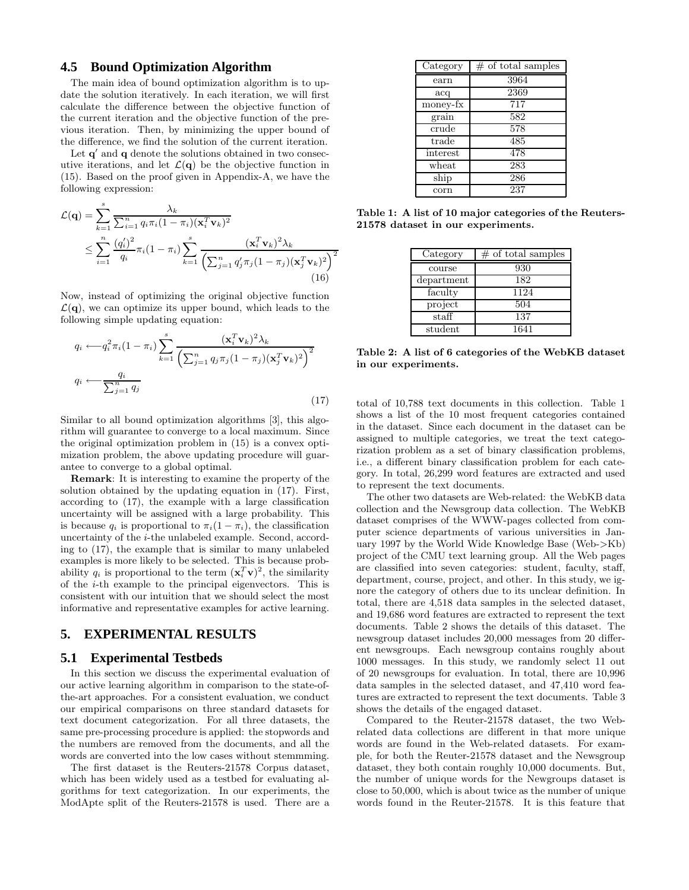#### **4.5 Bound Optimization Algorithm**

The main idea of bound optimization algorithm is to update the solution iteratively. In each iteration, we will first calculate the difference between the objective function of the current iteration and the objective function of the previous iteration. Then, by minimizing the upper bound of the difference, we find the solution of the current iteration.

Let  $q'$  and  $q$  denote the solutions obtained in two consecutive iterations, and let  $\mathcal{L}(\mathbf{q})$  be the objective function in (15). Based on the proof given in Appendix-A, we have the following expression:

$$
\mathcal{L}(\mathbf{q}) = \sum_{k=1}^{s} \frac{\lambda_k}{\sum_{i=1}^{n} q_i \pi_i (1 - \pi_i) (\mathbf{x}_i^T \mathbf{v}_k)^2}
$$
\n
$$
\leq \sum_{i=1}^{n} \frac{(q'_i)^2}{q_i} \pi_i (1 - \pi_i) \sum_{k=1}^{s} \frac{(\mathbf{x}_i^T \mathbf{v}_k)^2 \lambda_k}{\left(\sum_{j=1}^{n} q'_j \pi_j (1 - \pi_j) (\mathbf{x}_j^T \mathbf{v}_k)^2\right)^2}
$$
\n(16)

Now, instead of optimizing the original objective function  $\mathcal{L}(\mathbf{q})$ , we can optimize its upper bound, which leads to the following simple updating equation:

$$
q_i \leftarrow q_i^2 \pi_i (1 - \pi_i) \sum_{k=1}^s \frac{(\mathbf{x}_i^T \mathbf{v}_k)^2 \lambda_k}{\left(\sum_{j=1}^n q_j \pi_j (1 - \pi_j) (\mathbf{x}_j^T \mathbf{v}_k)^2\right)^2}
$$

$$
q_i \leftarrow \frac{q_i}{\sum_{j=1}^n q_j} \tag{17}
$$

Similar to all bound optimization algorithms [3], this algorithm will guarantee to converge to a local maximum. Since the original optimization problem in (15) is a convex optimization problem, the above updating procedure will guarantee to converge to a global optimal.

**Remark**: It is interesting to examine the property of the solution obtained by the updating equation in (17). First, according to (17), the example with a large classification uncertainty will be assigned with a large probability. This is because  $q_i$  is proportional to  $\pi_i(1 - \pi_i)$ , the classification uncertainty of the i-the unlabeled example. Second, according to (17), the example that is similar to many unlabeled examples is more likely to be selected. This is because probability  $q_i$  is proportional to the term  $(\mathbf{x}_i^T \mathbf{v})^2$ , the similarity of the i-th example to the principal eigenvectors. This is consistent with our intuition that we should select the most informative and representative examples for active learning.

### **5. EXPERIMENTAL RESULTS**

#### **5.1 Experimental Testbeds**

In this section we discuss the experimental evaluation of our active learning algorithm in comparison to the state-ofthe-art approaches. For a consistent evaluation, we conduct our empirical comparisons on three standard datasets for text document categorization. For all three datasets, the same pre-processing procedure is applied: the stopwords and the numbers are removed from the documents, and all the words are converted into the low cases without stemmming.

The first dataset is the Reuters-21578 Corpus dataset, which has been widely used as a testbed for evaluating algorithms for text categorization. In our experiments, the ModApte split of the Reuters-21578 is used. There are a

| Category                 | $\#$ of total samples |
|--------------------------|-----------------------|
| earn                     | 3964                  |
| acq                      | 2369                  |
| money-fx                 | 717                   |
| grain                    | 582                   |
| crude                    | 578                   |
| trade                    | 485                   |
| interest                 | 478                   |
| wheat                    | 283                   |
| $\overline{\text{ship}}$ | 286                   |
| corn                     | 237                   |

**Table 1: A list of 10 major categories of the Reuters-21578 dataset in our experiments.**

| $\#$ of total samples |
|-----------------------|
| 930                   |
| 182                   |
| 1124                  |
| 504                   |
| 137                   |
| 1641                  |
|                       |

**Table 2: A list of 6 categories of the WebKB dataset in our experiments.**

total of 10,788 text documents in this collection. Table 1 shows a list of the 10 most frequent categories contained in the dataset. Since each document in the dataset can be assigned to multiple categories, we treat the text categorization problem as a set of binary classification problems, i.e., a different binary classification problem for each category. In total, 26,299 word features are extracted and used to represent the text documents.

The other two datasets are Web-related: the WebKB data collection and the Newsgroup data collection. The WebKB dataset comprises of the WWW-pages collected from computer science departments of various universities in January 1997 by the World Wide Knowledge Base (Web->Kb) project of the CMU text learning group. All the Web pages are classified into seven categories: student, faculty, staff, department, course, project, and other. In this study, we ignore the category of others due to its unclear definition. In total, there are 4,518 data samples in the selected dataset, and 19,686 word features are extracted to represent the text documents. Table 2 shows the details of this dataset. The newsgroup dataset includes 20,000 messages from 20 different newsgroups. Each newsgroup contains roughly about 1000 messages. In this study, we randomly select 11 out of 20 newsgroups for evaluation. In total, there are 10,996 data samples in the selected dataset, and 47,410 word features are extracted to represent the text documents. Table 3 shows the details of the engaged dataset.

Compared to the Reuter-21578 dataset, the two Webrelated data collections are different in that more unique words are found in the Web-related datasets. For example, for both the Reuter-21578 dataset and the Newsgroup dataset, they both contain roughly 10,000 documents. But, the number of unique words for the Newgroups dataset is close to 50,000, which is about twice as the number of unique words found in the Reuter-21578. It is this feature that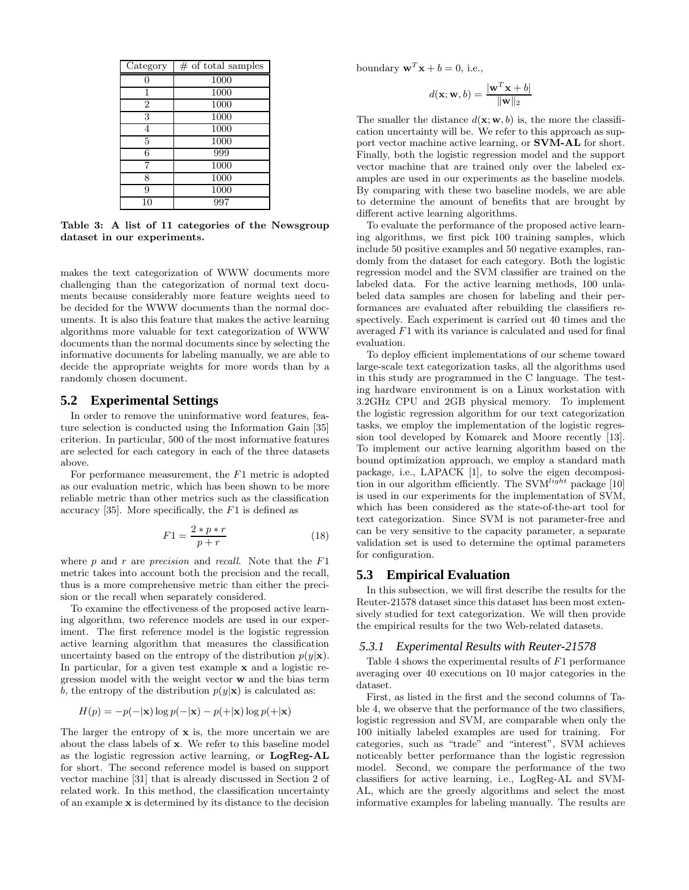| Category       | $\#$ of total samples |
|----------------|-----------------------|
| 0              | 1000                  |
| 1              | 1000                  |
| $\overline{2}$ | 1000                  |
| 3              | 1000                  |
| 4              | 1000                  |
| 5              | 1000                  |
| 6              | 999                   |
| 7              | 1000                  |
| 8              | 1000                  |
| 9              | 1000                  |
| 10             | 997                   |

**Table 3: A list of 11 categories of the Newsgroup dataset in our experiments.**

makes the text categorization of WWW documents more challenging than the categorization of normal text documents because considerably more feature weights need to be decided for the WWW documents than the normal documents. It is also this feature that makes the active learning algorithms more valuable for text categorization of WWW documents than the normal documents since by selecting the informative documents for labeling manually, we are able to decide the appropriate weights for more words than by a randomly chosen document.

## **5.2 Experimental Settings**

In order to remove the uninformative word features, feature selection is conducted using the Information Gain [35] criterion. In particular, 500 of the most informative features are selected for each category in each of the three datasets above.

For performance measurement, the  $F1$  metric is adopted as our evaluation metric, which has been shown to be more reliable metric than other metrics such as the classification accuracy [35]. More specifically, the  $F1$  is defined as

$$
F1 = \frac{2*p*r}{p+r} \tag{18}
$$

where p and r are *precision* and *recall*. Note that the F1 metric takes into account both the precision and the recall, thus is a more comprehensive metric than either the precision or the recall when separately considered.

To examine the effectiveness of the proposed active learning algorithm, two reference models are used in our experiment. The first reference model is the logistic regression active learning algorithm that measures the classification uncertainty based on the entropy of the distribution  $p(y|\mathbf{x})$ . In particular, for a given test example **x** and a logistic regression model with the weight vector **w** and the bias term b, the entropy of the distribution  $p(y|\mathbf{x})$  is calculated as:

$$
H(p) = -p(-|\mathbf{x})\log p(-|\mathbf{x}) - p(+|\mathbf{x})\log p(+|\mathbf{x})
$$

The larger the entropy of **x** is, the more uncertain we are about the class labels of **x**. We refer to this baseline model as the logistic regression active learning, or **LogReg-AL** for short. The second reference model is based on support vector machine [31] that is already discussed in Section 2 of related work. In this method, the classification uncertainty of an example **x** is determined by its distance to the decision

boundary  $\mathbf{w}^T \mathbf{x} + b = 0$ , i.e.,

$$
d(\mathbf{x}; \mathbf{w}, b) = \frac{|\mathbf{w}^T \mathbf{x} + b|}{\|\mathbf{w}\|_2}
$$

The smaller the distance  $d(\mathbf{x}; \mathbf{w}, b)$  is, the more the classification uncertainty will be. We refer to this approach as support vector machine active learning, or **SVM-AL** for short. Finally, both the logistic regression model and the support vector machine that are trained only over the labeled examples are used in our experiments as the baseline models. By comparing with these two baseline models, we are able to determine the amount of benefits that are brought by different active learning algorithms.

To evaluate the performance of the proposed active learning algorithms, we first pick 100 training samples, which include 50 positive examples and 50 negative examples, randomly from the dataset for each category. Both the logistic regression model and the SVM classifier are trained on the labeled data. For the active learning methods, 100 unlabeled data samples are chosen for labeling and their performances are evaluated after rebuilding the classifiers respectively. Each experiment is carried out 40 times and the averaged F1 with its variance is calculated and used for final evaluation.

To deploy efficient implementations of our scheme toward large-scale text categorization tasks, all the algorithms used in this study are programmed in the C language. The testing hardware environment is on a Linux workstation with 3.2GHz CPU and 2GB physical memory. To implement the logistic regression algorithm for our text categorization tasks, we employ the implementation of the logistic regression tool developed by Komarek and Moore recently [13]. To implement our active learning algorithm based on the bound optimization approach, we employ a standard math package, i.e., LAPACK [1], to solve the eigen decomposition in our algorithm efficiently. The SVM*light* package [10] is used in our experiments for the implementation of SVM, which has been considered as the state-of-the-art tool for text categorization. Since SVM is not parameter-free and can be very sensitive to the capacity parameter, a separate validation set is used to determine the optimal parameters for configuration.

# **5.3 Empirical Evaluation**

In this subsection, we will first describe the results for the Reuter-21578 dataset since this dataset has been most extensively studied for text categorization. We will then provide the empirical results for the two Web-related datasets.

#### *5.3.1 Experimental Results with Reuter-21578*

Table 4 shows the experimental results of F1 performance averaging over 40 executions on 10 major categories in the dataset.

First, as listed in the first and the second columns of Table 4, we observe that the performance of the two classifiers, logistic regression and SVM, are comparable when only the 100 initially labeled examples are used for training. For categories, such as "trade" and "interest", SVM achieves noticeably better performance than the logistic regression model. Second, we compare the performance of the two classifiers for active learning, i.e., LogReg-AL and SVM-AL, which are the greedy algorithms and select the most informative examples for labeling manually. The results are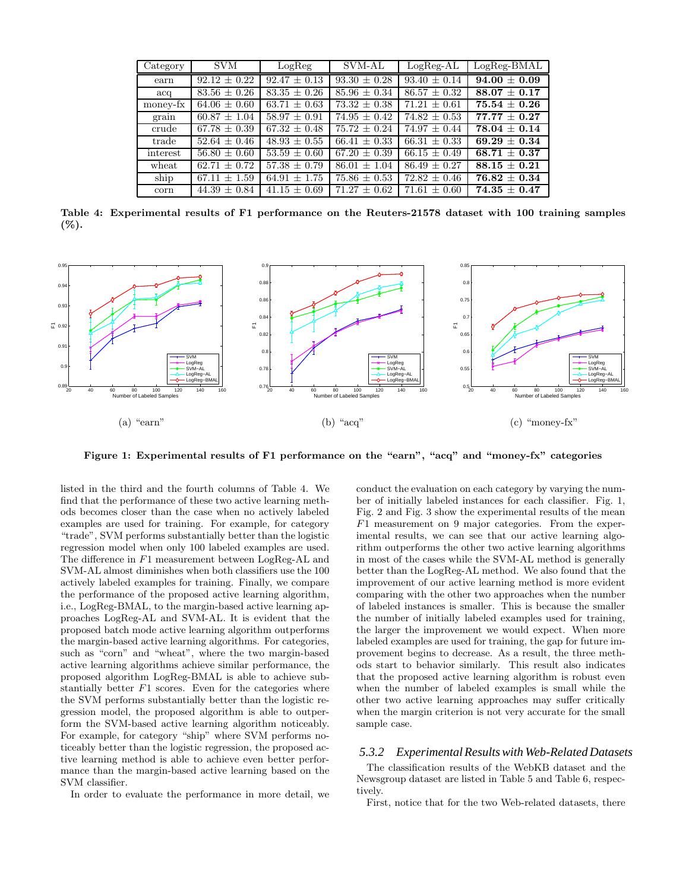| Category | SVM              | LogReg           | SVM-AL                      | $LogReg-AL$      | $LogReg-BMAL$  |
|----------|------------------|------------------|-----------------------------|------------------|----------------|
| earn     | $92.12 \pm 0.22$ | $92.47 \pm 0.13$ | $93.30 \pm 0.28$            | $93.40 \pm 0.14$ | $94.00 + 0.09$ |
| acq      | $83.56 \pm 0.26$ | $83.35 \pm 0.26$ | $85.96 \pm 0.34$            | $86.57 \pm 0.32$ | $88.07 + 0.17$ |
| money-fx | $64.06 \pm 0.60$ | $63.71 \pm 0.63$ | $73.32 \pm 0.38$            | $71.21 \pm 0.61$ | $75.54 + 0.26$ |
| grain    | $60.87 \pm 1.04$ | $58.97 \pm 0.91$ | $74.95 \pm 0.42$            | $74.82 \pm 0.53$ | $77.77 + 0.27$ |
| crude    | $67.78 \pm 0.39$ | $67.32 \pm 0.48$ | $75.72 \pm 0.24$            | $74.97 + 0.44$   | $78.04 + 0.14$ |
| trade    | $52.64 \pm 0.46$ | $48.93 \pm 0.55$ | $66.41 \pm 0.33$            | $66.31 \pm 0.33$ | $69.29 + 0.34$ |
| interest | $56.80 \pm 0.60$ | $53.59 \pm 0.60$ | $\overline{67.20} \pm 0.39$ | $66.15 \pm 0.49$ | $68.71 + 0.37$ |
| wheat    | $62.71 + 0.72$   | $57.38 + 0.79$   | $86.01 + 1.04$              | $86.49 + 0.27$   | $88.15 + 0.21$ |
| ship     | $67.11 \pm 1.59$ | $64.91 \pm 1.75$ | $75.86 \pm 0.53$            | $72.82 \pm 0.46$ | $76.82 + 0.34$ |
| corn     | $44.39 \pm 0.84$ | $41.15 \pm 0.69$ | $71.27 \pm 0.62$            | $71.61 + 0.60$   | $74.35 + 0.47$ |

**Table 4: Experimental results of F1 performance on the Reuters-21578 dataset with 100 training samples**  $(\%)$ .



**Figure 1: Experimental results of F1 performance on the "earn", "acq" and "money-fx" categories**

listed in the third and the fourth columns of Table 4. We find that the performance of these two active learning methods becomes closer than the case when no actively labeled examples are used for training. For example, for category "trade", SVM performs substantially better than the logistic regression model when only 100 labeled examples are used. The difference in F1 measurement between LogReg-AL and SVM-AL almost diminishes when both classifiers use the 100 actively labeled examples for training. Finally, we compare the performance of the proposed active learning algorithm, i.e., LogReg-BMAL, to the margin-based active learning approaches LogReg-AL and SVM-AL. It is evident that the proposed batch mode active learning algorithm outperforms the margin-based active learning algorithms. For categories, such as "corn" and "wheat", where the two margin-based active learning algorithms achieve similar performance, the proposed algorithm LogReg-BMAL is able to achieve substantially better  $F1$  scores. Even for the categories where the SVM performs substantially better than the logistic regression model, the proposed algorithm is able to outperform the SVM-based active learning algorithm noticeably. For example, for category "ship" where SVM performs noticeably better than the logistic regression, the proposed active learning method is able to achieve even better performance than the margin-based active learning based on the SVM classifier.

In order to evaluate the performance in more detail, we

conduct the evaluation on each category by varying the number of initially labeled instances for each classifier. Fig. 1, Fig. 2 and Fig. 3 show the experimental results of the mean F1 measurement on 9 major categories. From the experimental results, we can see that our active learning algorithm outperforms the other two active learning algorithms in most of the cases while the SVM-AL method is generally better than the LogReg-AL method. We also found that the improvement of our active learning method is more evident comparing with the other two approaches when the number of labeled instances is smaller. This is because the smaller the number of initially labeled examples used for training, the larger the improvement we would expect. When more labeled examples are used for training, the gap for future improvement begins to decrease. As a result, the three methods start to behavior similarly. This result also indicates that the proposed active learning algorithm is robust even when the number of labeled examples is small while the other two active learning approaches may suffer critically when the margin criterion is not very accurate for the small sample case.

#### *5.3.2 Experimental Results with Web-Related Datasets*

The classification results of the WebKB dataset and the Newsgroup dataset are listed in Table 5 and Table 6, respectively.

First, notice that for the two Web-related datasets, there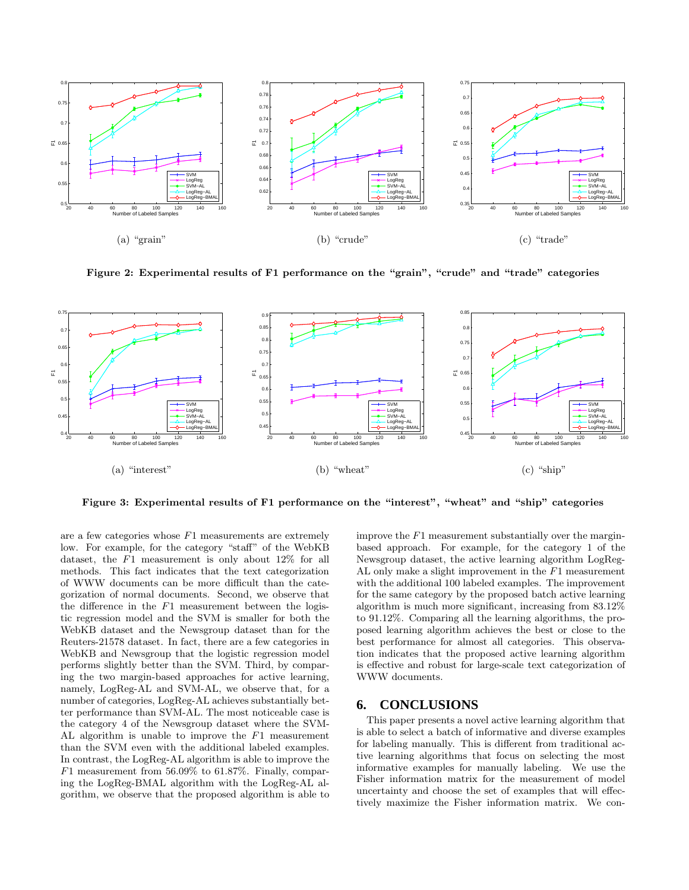

**Figure 2: Experimental results of F1 performance on the "grain", "crude" and "trade" categories**



**Figure 3: Experimental results of F1 performance on the "interest", "wheat" and "ship" categories**

are a few categories whose  $F1$  measurements are extremely low. For example, for the category "staff" of the WebKB dataset, the F1 measurement is only about 12% for all methods. This fact indicates that the text categorization of WWW documents can be more difficult than the categorization of normal documents. Second, we observe that the difference in the  $F1$  measurement between the logistic regression model and the SVM is smaller for both the WebKB dataset and the Newsgroup dataset than for the Reuters-21578 dataset. In fact, there are a few categories in WebKB and Newsgroup that the logistic regression model performs slightly better than the SVM. Third, by comparing the two margin-based approaches for active learning, namely, LogReg-AL and SVM-AL, we observe that, for a number of categories, LogReg-AL achieves substantially better performance than SVM-AL. The most noticeable case is the category 4 of the Newsgroup dataset where the SVM-AL algorithm is unable to improve the F1 measurement than the SVM even with the additional labeled examples. In contrast, the LogReg-AL algorithm is able to improve the  $F1$  measurement from 56.09% to 61.87%. Finally, comparing the LogReg-BMAL algorithm with the LogReg-AL algorithm, we observe that the proposed algorithm is able to improve the  $F1$  measurement substantially over the marginbased approach. For example, for the category 1 of the Newsgroup dataset, the active learning algorithm LogReg-AL only make a slight improvement in the F1 measurement with the additional 100 labeled examples. The improvement for the same category by the proposed batch active learning algorithm is much more significant, increasing from 83.12% to 91.12%. Comparing all the learning algorithms, the proposed learning algorithm achieves the best or close to the best performance for almost all categories. This observation indicates that the proposed active learning algorithm is effective and robust for large-scale text categorization of WWW documents.

# **6. CONCLUSIONS**

This paper presents a novel active learning algorithm that is able to select a batch of informative and diverse examples for labeling manually. This is different from traditional active learning algorithms that focus on selecting the most informative examples for manually labeling. We use the Fisher information matrix for the measurement of model uncertainty and choose the set of examples that will effectively maximize the Fisher information matrix. We con-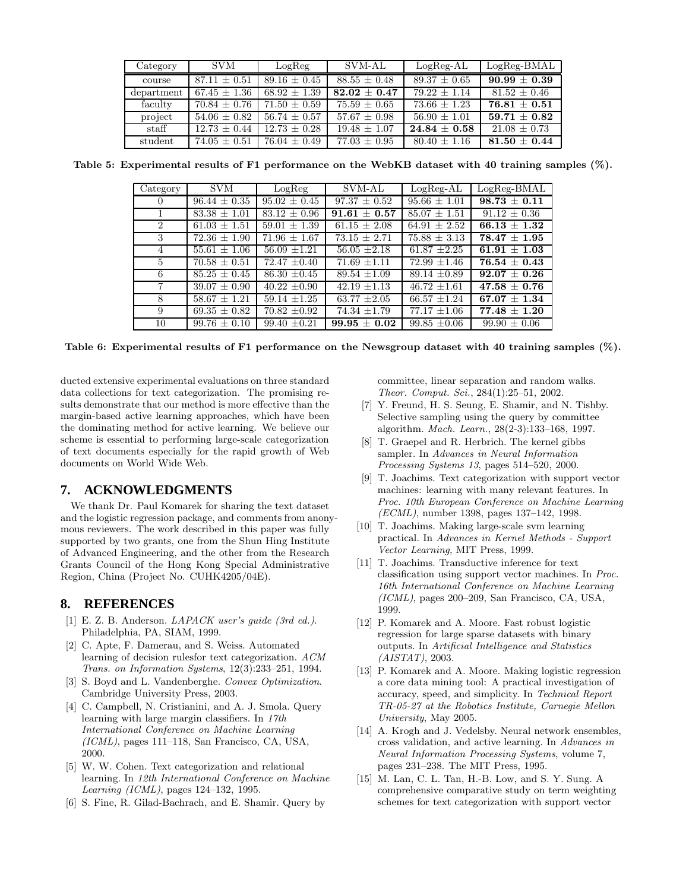| Category   | SVM              | LogReg           | SVM-AL           | $LogReg-AL$      | $LogReg-BMAL$    |
|------------|------------------|------------------|------------------|------------------|------------------|
| course     | $87.11 \pm 0.51$ | $89.16 \pm 0.45$ | $88.55 \pm 0.48$ | $89.37 \pm 0.65$ | $90.99 + 0.39$   |
| department | $67.45 \pm 1.36$ | $68.92 \pm 1.39$ | $82.02 + 0.47$   | $79.22 + 1.14$   | $81.52 \pm 0.46$ |
| faculty    | $70.84 \pm 0.76$ | $71.50 \pm 0.59$ | $75.59 \pm 0.65$ | $73.66 + 1.23$   | $76.81 + 0.51$   |
| project    | $54.06 \pm 0.82$ | $56.74 + 0.57$   | $57.67 \pm 0.98$ | $56.90 + 1.01$   | $59.71 + 0.82$   |
| staff      | $12.73 + 0.44$   | $12.73 \pm 0.28$ | $19.48 \pm 1.07$ | $24.84 \pm 0.58$ | $21.08 + 0.73$   |
| student    | $74.05 \pm 0.51$ | $76.04 \pm 0.49$ | $77.03 \pm 0.95$ | $80.40 \pm 1.16$ | $81.50 \pm 0.44$ |

**Table 5: Experimental results of F1 performance on the WebKB dataset with 40 training samples (%).**

| Category       | <b>SVM</b>       | LogReg           | SVM-AL           | $LogReg-AL$      | $LogReg-BMAL$    |
|----------------|------------------|------------------|------------------|------------------|------------------|
| $\left($       | $96.44 \pm 0.35$ | $95.02 \pm 0.45$ | $97.37 \pm 0.52$ | $95.66 \pm 1.01$ | $98.73 + 0.11$   |
|                | $83.38 \pm 1.01$ | $83.12 \pm 0.96$ | $91.61 \pm 0.57$ | $85.07 \pm 1.51$ | $91.12 \pm 0.36$ |
| $\mathcal{D}$  | $61.03 \pm 1.51$ | $59.01 \pm 1.39$ | $61.15 \pm 2.08$ | $64.91 \pm 2.52$ | $66.13 + 1.32$   |
| 3              | $72.36 + 1.90$   | $71.96 + 1.67$   | $73.15 \pm 2.71$ | $75.88 + 3.13$   | $78.47 \pm 1.95$ |
| 4              | $55.61 + 1.06$   | $56.09 \pm 1.21$ | $56.05 + 2.18$   | $61.87 + 2.25$   | $61.91 + 1.03$   |
| $\mathbf{5}$   | $70.58 \pm 0.51$ | $72.47 + 0.40$   | $71.69 \pm 1.11$ | $72.99 + 1.46$   | $76.54 + 0.43$   |
| 6              | $85.25 + 0.45$   | $86.30 \pm 0.45$ | $89.54 + 1.09$   | $89.14 + 0.89$   | $92.07 + 0.26$   |
| $\overline{7}$ | $39.07 + 0.90$   | $40.22 \pm 0.90$ | $42.19 \pm 1.13$ | $46.72 + 1.61$   | $47.58 + 0.76$   |
| 8              | $58.67 + 1.21$   | $59.14 \pm 1.25$ | $63.77 \pm 2.05$ | $66.57 + 1.24$   | $67.07 \pm 1.34$ |
| 9              | $69.35 \pm 0.82$ | $70.82 \pm 0.92$ | $74.34 \pm 1.79$ | $77.17 \pm 1.06$ | $77.48 \pm 1.20$ |
| 10             | $99.76 \pm 0.10$ | $99.40 \pm 0.21$ | $99.95 + 0.02$   | $99.85 \pm 0.06$ | $99.90 \pm 0.06$ |

**Table 6: Experimental results of F1 performance on the Newsgroup dataset with 40 training samples (%).**

ducted extensive experimental evaluations on three standard data collections for text categorization. The promising results demonstrate that our method is more effective than the margin-based active learning approaches, which have been the dominating method for active learning. We believe our scheme is essential to performing large-scale categorization of text documents especially for the rapid growth of Web documents on World Wide Web.

# **7. ACKNOWLEDGMENTS**

We thank Dr. Paul Komarek for sharing the text dataset and the logistic regression package, and comments from anonymous reviewers. The work described in this paper was fully supported by two grants, one from the Shun Hing Institute of Advanced Engineering, and the other from the Research Grants Council of the Hong Kong Special Administrative Region, China (Project No. CUHK4205/04E).

#### **8. REFERENCES**

- [1] E. Z. B. Anderson. *LAPACK user's guide (3rd ed.)*. Philadelphia, PA, SIAM, 1999.
- [2] C. Apte, F. Damerau, and S. Weiss. Automated learning of decision rulesfor text categorization. *ACM Trans. on Information Systems*, 12(3):233–251, 1994.
- [3] S. Boyd and L. Vandenberghe. *Convex Optimization*. Cambridge University Press, 2003.
- [4] C. Campbell, N. Cristianini, and A. J. Smola. Query learning with large margin classifiers. In *17th International Conference on Machine Learning (ICML)*, pages 111–118, San Francisco, CA, USA, 2000.
- [5] W. W. Cohen. Text categorization and relational learning. In *12th International Conference on Machine Learning (ICML)*, pages 124–132, 1995.
- [6] S. Fine, R. Gilad-Bachrach, and E. Shamir. Query by

committee, linear separation and random walks. *Theor. Comput. Sci.*, 284(1):25–51, 2002.

- [7] Y. Freund, H. S. Seung, E. Shamir, and N. Tishby. Selective sampling using the query by committee algorithm. *Mach. Learn.*, 28(2-3):133–168, 1997.
- [8] T. Graepel and R. Herbrich. The kernel gibbs sampler. In *Advances in Neural Information Processing Systems 13*, pages 514–520, 2000.
- [9] T. Joachims. Text categorization with support vector machines: learning with many relevant features. In *Proc. 10th European Conference on Machine Learning (ECML)*, number 1398, pages 137–142, 1998.
- [10] T. Joachims. Making large-scale svm learning practical. In *Advances in Kernel Methods - Support Vector Learning*, MIT Press, 1999.
- [11] T. Joachims. Transductive inference for text classification using support vector machines. In *Proc. 16th International Conference on Machine Learning (ICML)*, pages 200–209, San Francisco, CA, USA, 1999.
- [12] P. Komarek and A. Moore. Fast robust logistic regression for large sparse datasets with binary outputs. In *Artificial Intelligence and Statistics (AISTAT)*, 2003.
- [13] P. Komarek and A. Moore. Making logistic regression a core data mining tool: A practical investigation of accuracy, speed, and simplicity. In *Technical Report TR-05-27 at the Robotics Institute, Carnegie Mellon University*, May 2005.
- [14] A. Krogh and J. Vedelsby. Neural network ensembles, cross validation, and active learning. In *Advances in Neural Information Processing Systems*, volume 7, pages 231–238. The MIT Press, 1995.
- [15] M. Lan, C. L. Tan, H.-B. Low, and S. Y. Sung. A comprehensive comparative study on term weighting schemes for text categorization with support vector